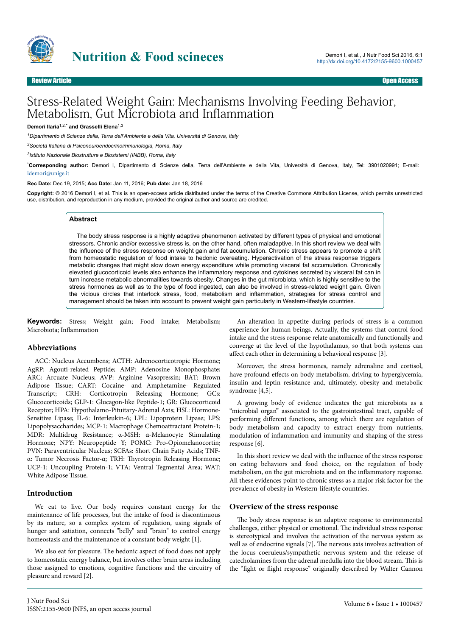

# Stress-Related Weight Gain: Mechanisms Involving Feeding Behavior, Metabolism, Gut Microbiota and Inflammation

## **Demori Ilaria**1,2,\* **and Grasselli Elena**1,3

*<sup>1</sup>Dipartimento di Scienze della, Terra dell'Ambiente e della Vita, Università di Genova, Italy*

*<sup>2</sup>Società Italiana di Psiconeuroendocrinoimmunologia, Roma, Italy*

*3 Istituto Nazionale Biostrutture e Biosistemi (INBB), Roma, Italy*

\***Corresponding author:** Demori I, Dipartimento di Scienze della, Terra dell'Ambiente e della Vita, Università di Genova, Italy, Tel: 3901020991; E-mail: [idemori@unige.it](mailto:idemori@unige.it)

#### **Rec Date:** Dec 19, 2015; **Acc Date:** Jan 11, 2016; **Pub date:** Jan 18, 2016

**Copyright:** © 2016 Demori I, et al. This is an open-access article distributed under the terms of the Creative Commons Attribution License, which permits unrestricted use, distribution, and reproduction in any medium, provided the original author and source are credited.

## **Abstract**

The body stress response is a highly adaptive phenomenon activated by different types of physical and emotional stressors. Chronic and/or excessive stress is, on the other hand, often maladaptive. In this short review we deal with the influence of the stress response on weight gain and fat accumulation. Chronic stress appears to promote a shift from homeostatic regulation of food intake to hedonic overeating. Hyperactivation of the stress response triggers metabolic changes that might slow down energy expenditure while promoting visceral fat accumulation. Chronically elevated glucocorticoid levels also enhance the inflammatory response and cytokines secreted by visceral fat can in turn increase metabolic abnormalities towards obesity. Changes in the gut microbiota, which is highly sensitive to the stress hormones as well as to the type of food ingested, can also be involved in stress-related weight gain. Given the vicious circles that interlock stress, food, metabolism and inflammation, strategies for stress control and management should be taken into account to prevent weight gain particularly in Western-lifestyle countries.

**Keywords:** Stress; Weight gain; Food intake; Metabolism; Microbiota; Inflammation

### **Abbreviations**

ACC: Nucleus Accumbens; ACTH: Adrenocorticotropic Hormone; AgRP: Agouti-related Peptide; AMP: Adenosine Monophosphate; ARC: Arcuate Nucleus; AVP: Arginine Vasopressin; BAT: Brown Adipose Tissue; CART: Cocaine- and Amphetamine- Regulated Transcript; CRH: Corticotropin Releasing Hormone; GCs: Glucocorticoids; GLP-1: Glucagon-like Peptide-1; GR: Glucocorticoid Receptor; HPA: Hypothalamo-Pituitary-Adrenal Axis; HSL: Hormone-Sensitive Lipase; IL-6: Interleukin-6; LPL: Lipoprotein Lipase; LPS: Lipopolysaccharides; MCP-1: Macrophage Chemoattractant Protein-1; MDR: Multidrug Resistance; α-MSH: α-Melanocyte Stimulating Hormone; NPY: Neuropeptide Y; POMC: Pro-Opiomelanocortin; PVN: Paraventricular Nucleus; SCFAs: Short Chain Fatty Acids; TNFα: Tumor Necrosis Factor-α; TRH: Нyrotropin Releasing Hormone; UCP-1: Uncoupling Protein-1; VTA: Ventral Tegmental Area; WAT: White Adipose Tissue.

### **Introduction**

We eat to live. Our body requires constant energy for the maintenance of life processes, but the intake of food is discontinuous by its nature, so a complex system of regulation, using signals of hunger and satiation, connects "belly" and "brain" to control energy homeostasis and the maintenance of a constant body weight [1].

We also eat for pleasure. Нe hedonic aspect of food does not apply to homeostatic energy balance, but involves other brain areas including those assigned to emotions, cognitive functions and the circuitry of pleasure and reward [2].

An alteration in appetite during periods of stress is a common experience for human beings. Actually, the systems that control food intake and the stress response relate anatomically and functionally and converge at the level of the hypothalamus, so that both systems can affect each other in determining a behavioral response [3].

Moreover, the stress hormones, namely adrenaline and cortisol, have profound effects on body metabolism, driving to hyperglycemia, insulin and leptin resistance and, ultimately, obesity and metabolic syndrome [4,5].

A growing body of evidence indicates the gut microbiota as a "microbial organ" associated to the gastrointestinal tract, capable of performing different functions, among which there are regulation of body metabolism and capacity to extract energy from nutrients, modulation of inflammation and immunity and shaping of the stress response [6].

In this short review we deal with the influence of the stress response on eating behaviors and food choice, on the regulation of body metabolism, on the gut microbiota and on the inflammatory response. All these evidences point to chronic stress as a major risk factor for the prevalence of obesity in Western-lifestyle countries.

### **Overview of the stress response**

The body stress response is an adaptive response to environmental challenges, either physical or emotional. Нe individual stress response is stereotypical and involves the activation of the nervous system as well as of endocrine signals [7]. Нe nervous axis involves activation of the locus coeruleus/sympathetic nervous system and the release of catecholamines from the adrenal medulla into the blood stream. Нis is the "fight or flight response" originally described by Walter Cannon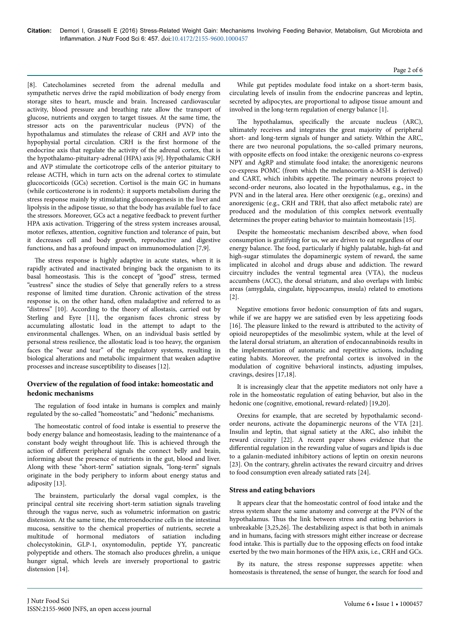[8]. Catecholamines secreted from the adrenal medulla and sympathetic nerves drive the rapid mobilization of body energy from storage sites to heart, muscle and brain. Increased cardiovascular activity, blood pressure and breathing rate allow the transport of glucose, nutrients and oxygen to target tissues. At the same time, the stressor acts on the paraventricular nucleus (PVN) of the hypothalamus and stimulates the release of CRH and AVP into the hypophysial portal circulation. CRH is the first hormone of the endocrine axis that regulate the activity of the adrenal cortex, that is the hypothalamo-pituitary-adrenal (HPA) axis [9]. Hypothalamic CRH and AVP stimulate the corticotrope cells of the anterior pituitary to release ACTH, which in turn acts on the adrenal cortex to stimulate glucocorticoids (GCs) secretion. Cortisol is the main GC in humans (while corticosterone is in rodents): it supports metabolism during the stress response mainly by stimulating gluconeogenesis in the liver and lipolysis in the adipose tissue, so that the body has available fuel to face the stressors. Moreover, GCs act a negative feedback to prevent further HPA axis activation. Triggering of the stress system increases arousal, motor reflexes, attention, cognitive function and tolerance of pain, but it decreases cell and body growth, reproductive and digestive functions, and has a profound impact on immunomodulation [7,9].

The stress response is highly adaptive in acute states, when it is rapidly activated and inactivated bringing back the organism to its basal homeostasis. Нis is the concept of "good" stress, termed "eustress" since the studies of Selye that generally refers to a stress response of limited time duration. Chronic activation of the stress response is, on the other hand, often maladaptive and referred to as "distress" [10]. According to the theory of allostasis, carried out by Sterling and Eyre [11], the organism faces chronic stress by accumulating allostatic load in the attempt to adapt to the environmental challenges. When, on an individual basis settled by personal stress resilience, the allostatic load is too heavy, the organism faces the "wear and tear" of the regulatory systems, resulting in biological alterations and metabolic impairment that weaken adaptive processes and increase susceptibility to diseases [12].

## **Overview of the regulation of food intake: homeostatic and hedonic mechanisms**

The regulation of food intake in humans is complex and mainly regulated by the so-called "homeostatic" and "hedonic" mechanisms.

The homeostatic control of food intake is essential to preserve the body energy balance and homeostasis, leading to the maintenance of a constant body weight throughout life. Нis is achieved through the action of different peripheral signals the connect belly and brain, informing about the presence of nutrients in the gut, blood and liver. Along with these "short-term" satiation signals, "long-term" signals originate in the body periphery to inform about energy status and adiposity [13].

The brainstem, particularly the dorsal vagal complex, is the principal central site receiving short-term satiation signals traveling through the vagus nerve, such as volumetric information on gastric distension. At the same time, the enteroendocrine cells in the intestinal mucosa, sensitive to the chemical properties of nutrients, secrete a multitude of hormonal mediators of satiation including cholecystokinin, GLP-1, oxyntomodulin, peptide YY, pancreatic polypeptide and others. Нe stomach also produces ghrelin, a unique hunger signal, which levels are inversely proportional to gastric distension [14].

While gut peptides modulate food intake on a short-term basis, circulating levels of insulin from the endocrine pancreas and leptin, secreted by adipocytes, are proportional to adipose tissue amount and involved in the long-term regulation of energy balance [1].

The hypothalamus, specifically the arcuate nucleus (ARC), ultimately receives and integrates the great majority of peripheral short- and long-term signals of hunger and satiety. Within the ARC, there are two neuronal populations, the so-called primary neurons, with opposite effects on food intake: the orexigenic neurons co-express NPY and AgRP and stimulate food intake; the anorexigenic neurons co-express POMC (from which the melanocortin α-MSH is derived) and CART, which inhibits appetite. Нe primary neurons project to second-order neurons, also located in the hypothalamus, e.g., in the PVN and in the lateral area. Here other orexigenic (e.g., orexins) and anorexigenic (e.g., CRH and TRH, that also affect metabolic rate) are produced and the modulation of this complex network eventually determines the proper eating behavior to maintain homeostasis [15].

Despite the homeostatic mechanism described above, when food consumption is gratifying for us, we are driven to eat regardless of our energy balance. Нe food, particularly if highly palatable, high-fat and high-sugar stimulates the dopaminergic system of reward, the same implicated in alcohol and drugs abuse and addiction. Нe reward circuitry includes the ventral tegmental area (VTA), the nucleus accumbens (ACC), the dorsal striatum, and also overlaps with limbic areas (amygdala, cingulate, hippocampus, insula) related to emotions [2].

Negative emotions favor hedonic consumption of fats and sugars, while if we are happy we are satisfied even by less appetizing foods [16]. The pleasure linked to the reward is attributed to the activity of opioid neuropeptides of the mesolimbic system, while at the level of the lateral dorsal striatum, an alteration of endocannabinoids results in the implementation of automatic and repetitive actions, including eating habits. Moreover, the prefrontal cortex is involved in the modulation of cognitive behavioral instincts, adjusting impulses, cravings, desires [17,18].

It is increasingly clear that the appetite mediators not only have a role in the homeostatic regulation of eating behavior, but also in the hedonic one (cognitive, emotional, reward-related) [19,20].

Orexins for example, that are secreted by hypothalamic secondorder neurons, activate the dopaminergic neurons of the VTA [21]. Insulin and leptin, that signal satiety at the ARC, also inhibit the reward circuitry [22]. A recent paper shows evidence that the differential regulation in the rewarding value of sugars and lipids is due to a galanin-mediated inhibitory actions of leptin on orexin neurons [23]. On the contrary, ghrelin activates the reward circuitry and drives to food consumption even already satiated rats [24].

## **Stress and eating behaviors**

It appears clear that the homeostatic control of food intake and the stress system share the same anatomy and converge at the PVN of the hypothalamus. Нus the link between stress and eating behaviors is unbreakable [3,25,26]. Нe destabilizing aspect is that both in animals and in humans, facing with stressors might either increase or decrease food intake. This is partially due to the opposing effects on food intake exerted by the two main hormones of the HPA axis, i.e., CRH and GCs.

By its nature, the stress response suppresses appetite: when homeostasis is threatened, the sense of hunger, the search for food and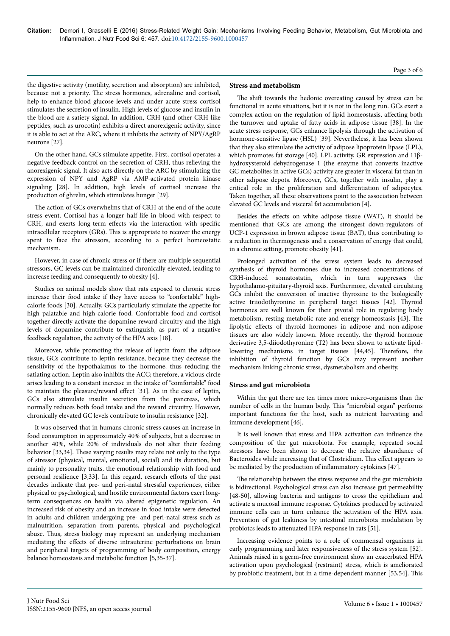the digestive activity (motility, secretion and absorption) are inhibited, because not a priority. Нe stress hormones, adrenaline and cortisol, help to enhance blood glucose levels and under acute stress cortisol stimulates the secretion of insulin. High levels of glucose and insulin in the blood are a satiety signal. In addition, CRH (and other CRH-like peptides, such as urocotin) exhibits a direct anorexigenic activity, since it is able to act at the ARC, where it inhibits the activity of NPY/AgRP neurons [27].

On the other hand, GCs stimulate appetite. First, cortisol operates a negative feedback control on the secretion of CRH, thus relieving the anorexigenic signal. It also acts directly on the ARC by stimulating the expression of NPY and AgRP via AMP-activated protein kinase signaling [28]. In addition, high levels of cortisol increase the production of ghrelin, which stimulates hunger [29].

The action of GCs overwhelms that of CRH at the end of the acute stress event. Cortisol has a longer half-life in blood with respect to CRH, and exerts long-term effects via the interaction with specific intracellular receptors (GRs). Нis is appropriate to recover the energy spent to face the stressors, according to a perfect homeostatic mechanism.

However, in case of chronic stress or if there are multiple sequential stressors, GC levels can be maintained chronically elevated, leading to increase feeding and consequently to obesity [4].

Studies on animal models show that rats exposed to chronic stress increase their food intake if they have access to "confortable" highcalorie foods [30]. Actually, GCs particularly stimulate the appetite for high palatable and high-calorie food. Confortable food and cortisol together directly activate the dopamine reward circuitry and the high levels of dopamine contribute to extinguish, as part of a negative feedback regulation, the activity of the HPA axis [18].

Moreover, while promoting the release of leptin from the adipose tissue, GCs contribute to leptin resistance, because they decrease the sensitivity of the hypothalamus to the hormone, thus reducing the satiating action. Leptin also inhibits the ACC; therefore, a vicious circle arises leading to a constant increase in the intake of "comfortable" food to maintain the pleasure/reward effect [31]. As in the case of leptin, GCs also stimulate insulin secretion from the pancreas, which normally reduces both food intake and the reward circuitry. However, chronically elevated GC levels contribute to insulin resistance [32].

It was observed that in humans chronic stress causes an increase in food consumption in approximately 40% of subjects, but a decrease in another 40%, while 20% of individuals do not alter their feeding behavior [33,34]. Нese varying results may relate not only to the type of stressor (physical, mental, emotional, social) and its duration, but mainly to personality traits, the emotional relationship with food and personal resilience [3,33]. In this regard, research efforts of the past decades indicate that pre- and peri-natal stressful experiences, either physical or psychological, and hostile environmental factors exert longterm consequences on health via altered epigenetic regulation. An increased risk of obesity and an increase in food intake were detected in adults and children undergoing pre- and peri-natal stress such as malnutrition, separation from parents, physical and psychological abuse. Нus, stress biology may represent an underlying mechanism mediating the effects of diverse intrauterine perturbations on brain and peripheral targets of programming of body composition, energy balance homeostasis and metabolic function [5,35-37].

## **Stress and metabolism**

The shift towards the hedonic overeating caused by stress can be functional in acute situations, but it is not in the long run. GCs exert a complex action on the regulation of lipid homeostasis, affecting both the turnover and uptake of fatty acids in adipose tissue [38]. In the acute stress response, GCs enhance lipolysis through the activation of hormone-sensitive lipase (HSL) [39]. Nevertheless, it has been shown that they also stimulate the activity of adipose lipoprotein lipase (LPL), which promotes fat storage [40]. LPL activity, GR expression and 11βhydroxysteroid dehydrogenase 1 (the enzyme that converts inactive GC metabolites in active GCs) activity are greater in visceral fat than in other adipose depots. Moreover, GCs, together with insulin, play a critical role in the proliferation and differentiation of adipocytes. Taken together, all these observations point to the association between elevated GC levels and visceral fat accumulation [4].

Besides the effects on white adipose tissue (WAT), it should be mentioned that GCs are among the strongest down-regulators of UCP-1 expression in brown adipose tissue (BAT), thus contributing to a reduction in thermogenesis and a conservation of energy that could, in a chronic setting, promote obesity [41].

Prolonged activation of the stress system leads to decreased synthesis of thyroid hormones due to increased concentrations of CRH-induced somatostatin, which in turn suppresses the hypothalamo-pituitary-thyroid axis. Furthermore, elevated circulating GCs inhibit the conversion of inactive thyroxine to the biologically active triiodothyronine in peripheral target tissues [42]. Нyroid hormones are well known for their pivotal role in regulating body metabolism, resting metabolic rate and energy homeostasis [43]. Нe lipolytic effects of thyroid hormones in adipose and non-adipose tissues are also widely known. More recently, the thyroid hormone derivative 3,5-diiodothyronine (T2) has been shown to activate lipidlowering mechanisms in target tissues [44,45]. Нerefore, the inhibition of thyroid function by GCs may represent another mechanism linking chronic stress, dysmetabolism and obesity.

### **Stress and gut microbiota**

Within the gut there are ten times more micro-organisms than the number of cells in the human body. Нis "microbial organ" performs important functions for the host, such as nutrient harvesting and immune development [46].

It is well known that stress and HPA activation can influence the composition of the gut microbiota. For example, repeated social stressors have been shown to decrease the relative abundance of Bacteroides while increasing that of Clostridium. This effect appears to be mediated by the production of inflammatory cytokines [47].

The relationship between the stress response and the gut microbiota is bidirectional. Psychological stress can also increase gut permeability [48-50], allowing bacteria and antigens to cross the epithelium and activate a mucosal immune response. Cytokines produced by activated immune cells can in turn enhance the activation of the HPA axis. Prevention of gut leakiness by intestinal microbiota modulation by probiotcs leads to attenuated HPA response in rats [51].

Increasing evidence points to a role of commensal organisms in early programming and later responsiveness of the stress system [52]. Animals raised in a germ-free environment show an exacerbated HPA activation upon psychological (restraint) stress, which is ameliorated by probiotic treatment, but in a time-dependent manner [53,54]. Нis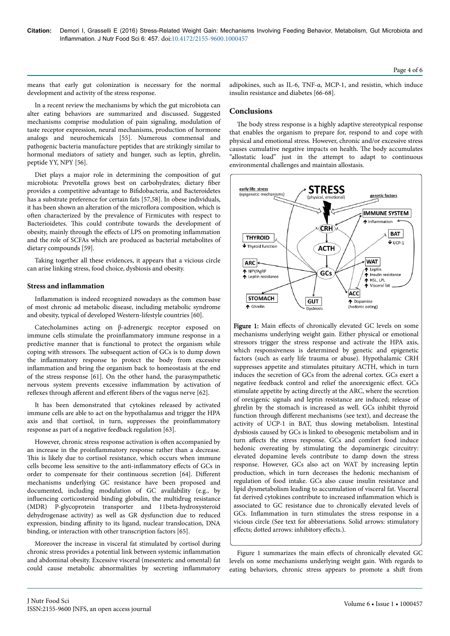means that early gut colonization is necessary for the normal development and activity of the stress response.

In a recent review the mechanisms by which the gut microbiota can alter eating behaviors are summarized and discussed. Suggested mechanisms comprise modulation of pain signaling, modulation of taste receptor expression, neural mechanisms, production of hormone analogs and neurochemicals [55]. Numerous commensal and pathogenic bacteria manufacture peptides that are strikingly similar to hormonal mediators of satiety and hunger, such as leptin, ghrelin, peptide YY, NPY [56].

Diet plays a major role in determining the composition of gut microbiota: Prevotella grows best on carbohydrates; dietary fiber provides a competitive advantage to Bifidobacteria, and Bacteroidetes has a substrate preference for certain fats [57,58]. In obese individuals, it has been shown an alteration of the microflora composition, which is often characterized by the prevalence of Firmicutes with respect to Bacterioidetes. Нis could contribute towards the development of obesity, mainly through the effects of LPS on promoting inflammation and the role of SCFAs which are produced as bacterial metabolites of dietary compounds [59].

Taking together all these evidences, it appears that a vicious circle can arise linking stress, food choice, dysbiosis and obesity.

## **Stress and inflammation**

Inflammation is indeed recognized nowadays as the common base of most chronic ad metabolic disease, including metabolic syndrome and obesity, typical of developed Western-lifestyle countries [60].

Catecholamines acting on β-adrenergic receptor exposed on immune cells stimulate the proinflammatory immune response in a predictive manner that is functional to protect the organism while coping with stressors. Нe subsequent action of GCs is to dump down the inflammatory response to protect the body from excessive inflammation and bring the organism back to homeostasis at the end of the stress response [61]. On the other hand, the parasympathetic nervous system prevents excessive inflammation by activation of reflexes through afferent and efferent fibers of the vagus nerve [62].

It has been demonstrated that cytokines released by activated immune cells are able to act on the hypothalamus and trigger the HPA axis and that cortisol, in turn, suppresses the proinflammatory response as part of a negative feedback regulation [63].

However, chronic stress response activation is often accompanied by an increase in the proinflammatory response rather than a decrease. This is likely due to cortisol resistance, which occurs when immune cells become less sensitive to the anti-inflammatory effects of GCs in order to compensate for their continuous secretion [64]. Different mechanisms underlying GC resistance have been proposed and documented, including modulation of GC availability (e.g., by influencing corticosteroid binding globulin, the multidrug resistance (MDR) P-glycoprotein transporter and 11beta-hydroxysteroid dehydrogenase activity) as well as GR dysfunction due to reduced expression, binding affinity to its ligand, nuclear translocation, DNA binding, or interaction with other transcription factors [65].

Moreover the increase in visceral fat stimulated by cortisol during chronic stress provides a potential link between systemic inflammation and abdominal obesity. Excessive visceral (mesenteric and omental) fat could cause metabolic abnormalities by secreting inflammatory

adipokines, such as IL-6, TNF-α, MCP-1, and resistin, which induce insulin resistance and diabetes [66-68].

## **Conclusions**

The body stress response is a highly adaptive stereotypical response that enables the organism to prepare for, respond to and cope with physical and emotional stress. However, chronic and/or excessive stress causes cumulative negative impacts on health. Нe body accumulates "allostatic load" just in the attempt to adapt to continuous environmental challenges and maintain allostasis.



Figure 1: Main effects of chronically elevated GC levels on some mechanisms underlying weight gain. Either physical or emotional stressors trigger the stress response and activate the HPA axis, which responsiveness is determined by genetic and epigenetic factors (such as early life trauma or abuse). Hypothalamic CRH suppresses appetite and stimulates pituitary ACTH, which in turn induces the secretion of GCs from the adrenal cortex. GCs exert a negative feedback control and relief the anorexigenic effect. GCs stimulate appetite by acting directly at the ARC, where the secretion of orexigenic signals and leptin resistance are induced; release of ghrelin by the stomach is increased as well. GCs inhibit thyroid function through different mechanisms (see text), and decrease the activity of UCP-1 in BAT, thus slowing metabolism. Intestinal dysbiosis caused by GCs is linked to obesogenic metabolism and in turn affects the stress response. GCs and comfort food induce hedonic overeating by stimulating the dopaminergic circuitry: elevated dopamine levels contribute to damp down the stress response. However, GCs also act on WAT by increasing leptin production, which in turn decreases the hedonic mechanism of regulation of food intake. GCs also cause insulin resistance and lipid dysmetabolism leading to accumulation of visceral fat. Visceral fat derived cytokines contribute to increased inflammation which is associated to GC resistance due to chronically elevated levels of GCs. Inflammation in turn stimulates the stress response in a vicious circle (See text for abbreviations. Solid arrows: stimulatory effects; dotted arrows: inhibitory effects.).

Figure 1 summarizes the main effects of chronically elevated GC levels on some mechanisms underlying weight gain. With regards to eating behaviors, chronic stress appears to promote a shift from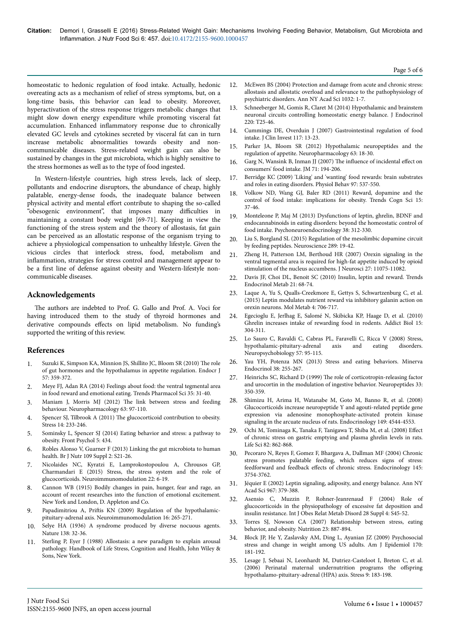homeostatic to hedonic regulation of food intake. Actually, hedonic overeating acts as a mechanism of relief of stress symptoms, but, on a long-time basis, this behavior can lead to obesity. Moreover, hyperactivation of the stress response triggers metabolic changes that might slow down energy expenditure while promoting visceral fat accumulation. Enhanced inflammatory response due to chronically elevated GC levels and cytokines secreted by visceral fat can in turn increase metabolic abnormalities towards obesity and noncommunicable diseases. Stress-related weight gain can also be sustained by changes in the gut microbiota, which is highly sensitive to the stress hormones as well as to the type of food ingested.

In Western-lifestyle countries, high stress levels, lack of sleep, pollutants and endocrine disruptors, the abundance of cheap, highly palatable, energy-dense foods, the inadequate balance between physical activity and mental effort contribute to shaping the so-called "obesogenic environment", that imposes many difficulties in maintaining a constant body weight [69-71]. Keeping in view the functioning of the stress system and the theory of allostasis, fat gain can be perceived as an allostatic response of the organism trying to achieve a physiological compensation to unhealthy lifestyle. Given the vicious circles that interlock stress, food, metabolism and inflammation, strategies for stress control and management appear to be a first line of defense against obesity and Western-lifestyle noncommunicable diseases.

## **Acknowledgements**

The authors are indebted to Prof. G. Gallo and Prof. A. Voci for having introduced them to the study of thyroid hormones and derivative compounds effects on lipid metabolism. No funding's supported the writing of this review.

# **References**

- 1. [Suzuki K, Simpson KA, Minnion JS, Shillito JC, Bloom SR \(2010\)](http://www.ncbi.nlm.nih.gov/pubmed/20424341) The role [of gut hormones and the hypothalamus in appetite regulation. Endocr J](http://www.ncbi.nlm.nih.gov/pubmed/20424341) [57: 359-372.](http://www.ncbi.nlm.nih.gov/pubmed/20424341)
- 2. [Meye FJ, Adan RA \(2014\) Feelings about food: the ventral tegmental area](http://www.ncbi.nlm.nih.gov/pubmed/24332673) [in food reward and emotional eating. Trends Pharmacol Sci 35: 31-40.](http://www.ncbi.nlm.nih.gov/pubmed/24332673)
- 3. Maniam J, Morris MJ (2012) Нe [link between stress and feeding](http://www.ncbi.nlm.nih.gov/pubmed/22710442) [behaviour. Neuropharmacology 63: 97-110.](http://www.ncbi.nlm.nih.gov/pubmed/22710442)
- 4. Spencer SJ, Tilbrook A (2011) Нe [glucocorticoid contribution to obesity.](http://www.ncbi.nlm.nih.gov/pubmed/21294656) [Stress 14: 233-246.](http://www.ncbi.nlm.nih.gov/pubmed/21294656)
- 5. [Sominsky L, Spencer SJ \(2014\) Eating behavior and stress: a pathway to](http://www.ncbi.nlm.nih.gov/pubmed/24860541) [obesity. Front Psychol 5: 434.](http://www.ncbi.nlm.nih.gov/pubmed/24860541)
- 6. [Robles Alonso V, Guarner F \(2013\) Linking the gut microbiota to human](http://www.ncbi.nlm.nih.gov/pubmed/23360877) [health. Br J Nutr 109 Suppl 2: S21-26.](http://www.ncbi.nlm.nih.gov/pubmed/23360877)
- 7. [Nicolaides NC, Kyratzi E, Lamprokostopoulou A, Chrousos GP,](http://www.ncbi.nlm.nih.gov/pubmed/25227402) [Charmandari E \(2015\) Stress, the stress system and the role of](http://www.ncbi.nlm.nih.gov/pubmed/25227402) [glucocorticoids. Neuroimmunomodulation 22: 6-19.](http://www.ncbi.nlm.nih.gov/pubmed/25227402)
- 8. [Cannon WB \(1915\) Bodily changes in pain, hunger, fear and rage, an](https://archive.org/details/cu31924022542470) [account of recent researches into the function of emotional excitement.](https://archive.org/details/cu31924022542470) [New York and London, D. Appleton and Co.](https://archive.org/details/cu31924022542470)
- Papadimitriou A, Priftis [KN \(2009\) Regulation of the hypothalamic](http://www.ncbi.nlm.nih.gov/pubmed/19571587)[pituitary-adrenal axis. Neuroimmunomodulation 16: 265-271.](http://www.ncbi.nlm.nih.gov/pubmed/19571587)
- 10. [Selye HA \(1936\) A syndrome produced by diverse nocuous agents.](https://www.sfn.org/~/media/SfN/Documents/ClassicPapers/Stress/selye.ashx) [Nature 138: 32-36.](https://www.sfn.org/~/media/SfN/Documents/ClassicPapers/Stress/selye.ashx)
- 11. [Sterling P, Eyer J \(1988\) Allostasis: a new paradigm to explain arousal](http://retina.anatomy.upenn.edu/pdfiles/5446.pdf) [pathology. Handbook of Life Stress, Cognition and Health, John Wiley &](http://retina.anatomy.upenn.edu/pdfiles/5446.pdf) [Sons, New York.](http://retina.anatomy.upenn.edu/pdfiles/5446.pdf)
- 12. [McEwen BS \(2004\) Protection and damage from acute and chronic stress:](http://www.ncbi.nlm.nih.gov/pubmed/15677391) [allostasis and allostatic overload and relevance to the pathophysiology of](http://www.ncbi.nlm.nih.gov/pubmed/15677391) [psychiatric disorders. Ann NY Acad Sci 1032: 1-7.](http://www.ncbi.nlm.nih.gov/pubmed/15677391)
- [Schneeberger M, Gomis R, Claret M \(2014\) Hypothalamic and brainstem](http://www.ncbi.nlm.nih.gov/pubmed/24222039) [neuronal circuits controlling homeostatic energy balance. J Endocrinol](http://www.ncbi.nlm.nih.gov/pubmed/24222039) [220: T25-46.](http://www.ncbi.nlm.nih.gov/pubmed/24222039)
- 14. [Cummings DE, Overduin J \(2007\) Gastrointestinal regulation of food](http://www.ncbi.nlm.nih.gov/pubmed/17200702) [intake. J Clin Invest 117: 13-23.](http://www.ncbi.nlm.nih.gov/pubmed/17200702)
- 15. [Parker JA, Bloom SR \(2012\) Hypothalamic neuropeptides and the](http://www.ncbi.nlm.nih.gov/pubmed/22369786) [regulation of appetite. Neuropharmacology 63: 18-30.](http://www.ncbi.nlm.nih.gov/pubmed/22369786)
- 16. [Garg N, Wansink B, Inman JJ \(2007\)](http://foodpsychology.cornell.edu/pdf/permission/2007/MoodFood-JM_2007.pdf) The influence of incidental effect on [consumers' food intake. JM 71: 194-206.](http://foodpsychology.cornell.edu/pdf/permission/2007/MoodFood-JM_2007.pdf)
- 17. [Berridge KC \(2009\) 'Liking' and 'wanting' food rewards: brain substrates](http://www.ncbi.nlm.nih.gov/pubmed/19336238) [and roles in eating disorders. Physiol Behav 97: 537-550.](http://www.ncbi.nlm.nih.gov/pubmed/19336238)
- 18. [Volkow ND, Wang GJ, Baler RD \(2011\) Reward, dopamine and the](http://www.ncbi.nlm.nih.gov/pubmed/21109477) [control of food intake: implications for obesity. Trends Cogn Sci 15:](http://www.ncbi.nlm.nih.gov/pubmed/21109477) [37-46.](http://www.ncbi.nlm.nih.gov/pubmed/21109477)
- 19. [Monteleone P, Maj M \(2013\) Dysfunctions of leptin, ghrelin, BDNF and](http://www.ncbi.nlm.nih.gov/pubmed/23313276) [endocannabinoids in eating disorders: beyond the homeostatic control of](http://www.ncbi.nlm.nih.gov/pubmed/23313276) [food intake. Psychoneuroendocrinology 38: 312-330.](http://www.ncbi.nlm.nih.gov/pubmed/23313276)
- 20. [Liu S, Borgland SL \(2015\) Regulation of the mesolimbic dopamine circuit](http://www.ncbi.nlm.nih.gov/pubmed/25583635) [by feeding peptides. Neuroscience 289: 19-42.](http://www.ncbi.nlm.nih.gov/pubmed/25583635)
- 21. [Zheng H, Patterson LM, Berthoud HR \(2007\) Orexin signaling in the](http://www.ncbi.nlm.nih.gov/pubmed/17928449) [ventral tegmental area is required for high-fat appetite induced by opioid](http://www.ncbi.nlm.nih.gov/pubmed/17928449) [stimulation of the nucleus accumbens. J Neurosci 27: 11075-11082.](http://www.ncbi.nlm.nih.gov/pubmed/17928449)
- 22. [Davis JF, Choi DL, Benoit SC \(2010\) Insulin, leptin and reward. Trends](http://www.ncbi.nlm.nih.gov/pubmed/19818643) [Endocrinol Metab 21: 68-74.](http://www.ncbi.nlm.nih.gov/pubmed/19818643)
- 23. [Laque A, Yu S, Qualls-Creekmore E, Gettys S, Schwartzenburg C, et al.](http://www.ncbi.nlm.nih.gov/pubmed/26500842) [\(2015\) Leptin modulates nutrient reward via inhibitory galanin action on](http://www.ncbi.nlm.nih.gov/pubmed/26500842) [orexin neurons. Mol Metab 4: 706-717.](http://www.ncbi.nlm.nih.gov/pubmed/26500842)
- 24. [Egecioglu E, Jerlhag E, Salomé N, Skibicka KP, Haage D, et al. \(2010\)](http://www.ncbi.nlm.nih.gov/pubmed/20477752) [Ghrelin increases intake of rewarding food in rodents. Addict Biol 15:](http://www.ncbi.nlm.nih.gov/pubmed/20477752) [304-311.](http://www.ncbi.nlm.nih.gov/pubmed/20477752)
- 25. [Lo Sauro C, Ravaldi C, Cabras PL, Faravelli C, Ricca V \(2008\) Stress,](http://www.ncbi.nlm.nih.gov/pubmed/18552511)<br>hvpothalamic-pituitary-adrenal axis and eating disorders. hypothalamic-pituitary-adrenal [Neuropsychobiology 57: 95-115.](http://www.ncbi.nlm.nih.gov/pubmed/18552511)
- 26. [Yau YH, Potenza MN \(2013\) Stress and eating behaviors. Minerva](http://www.ncbi.nlm.nih.gov/pubmed/24126546) [Endocrinol 38: 255-267.](http://www.ncbi.nlm.nih.gov/pubmed/24126546)
- 27. Heinrichs SC, Richard D (1999) Нe [role of corticotropin-releasing factor](http://www.ncbi.nlm.nih.gov/pubmed/10657512) [and urocortin in the modulation of ingestive behavior. Neuropeptides 33:](http://www.ncbi.nlm.nih.gov/pubmed/10657512) [350-359.](http://www.ncbi.nlm.nih.gov/pubmed/10657512)
- 28. [Shimizu H, Arima H, Watanabe M, Goto M, Banno R, et al. \(2008\)](http://www.ncbi.nlm.nih.gov/pubmed/18535107) [Glucocorticoids increase neuropeptide Y and agouti-related peptide gene](http://www.ncbi.nlm.nih.gov/pubmed/18535107) [expression via adenosine monophosphate-activated protein kinase](http://www.ncbi.nlm.nih.gov/pubmed/18535107) [signaling in the arcuate nucleus of rats. Endocrinology 149: 4544-4553.](http://www.ncbi.nlm.nih.gov/pubmed/18535107)
- 29. [Ochi M, Tominaga K, Tanaka F, Tanigawa T, Shiba M, et al. \(2008\)](http://www.ncbi.nlm.nih.gov/pubmed/18343456) Effect [of chronic stress on gastric emptying and plasma ghrelin levels in rats.](http://www.ncbi.nlm.nih.gov/pubmed/18343456) [Life Sci 82: 862-868.](http://www.ncbi.nlm.nih.gov/pubmed/18343456)
- 30. [Pecoraro N, Reyes F, Gomez F, Bhargava A, Dallman MF \(2004\) Chronic](http://www.ncbi.nlm.nih.gov/pubmed/15142987) [stress promotes palatable feeding, which reduces signs of stress:](http://www.ncbi.nlm.nih.gov/pubmed/15142987) feedforward and feedback effects [of chronic stress. Endocrinology 145:](http://www.ncbi.nlm.nih.gov/pubmed/15142987) [3754-3762.](http://www.ncbi.nlm.nih.gov/pubmed/15142987)
- 31. [Jéquier E \(2002\) Leptin signaling, adiposity, and energy balance. Ann NY](http://www.ncbi.nlm.nih.gov/pubmed/12079865) [Acad Sci 967: 379-388.](http://www.ncbi.nlm.nih.gov/pubmed/12079865)
- 32. [Asensio C, Muzzin P, Rohner-Jeanrenaud F \(2004\) Role of](http://www.ncbi.nlm.nih.gov/pubmed/15592486) [glucocorticoids in the physiopathology of excessive fat deposition and](http://www.ncbi.nlm.nih.gov/pubmed/15592486) [insulin resistance. Int J Obes Relat Metab Disord 28 Suppl 4: S45-52.](http://www.ncbi.nlm.nih.gov/pubmed/15592486)
- 33. [Torres SJ, Nowson CA \(2007\) Relationship between stress, eating](http://www.ncbi.nlm.nih.gov/pubmed/17869482) [behavior, and obesity. Nutrition 23: 887-894.](http://www.ncbi.nlm.nih.gov/pubmed/17869482)
- 34. [Block JP, He Y, Zaslavsky AM, Ding L, Ayanian JZ \(2009\) Psychosocial](http://www.ncbi.nlm.nih.gov/pubmed/19465744) [stress and change in weight among US adults. Am J Epidemiol 170:](http://www.ncbi.nlm.nih.gov/pubmed/19465744) [181-192.](http://www.ncbi.nlm.nih.gov/pubmed/19465744)
- 35. [Lesage J, Sebaai N, Leonhardt M, Dutriez-Casteloot I, Breton C, et al.](http://www.ncbi.nlm.nih.gov/pubmed/17175504) [\(2006\) Perinatal maternal undernutrition programs the](http://www.ncbi.nlm.nih.gov/pubmed/17175504) offspring [hypothalamo-pituitary-adrenal \(HPA\) axis. Stress 9: 183-198.](http://www.ncbi.nlm.nih.gov/pubmed/17175504)